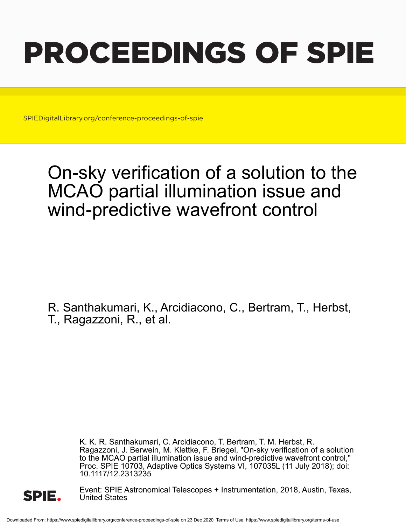# PROCEEDINGS OF SPIE

SPIEDigitalLibrary.org/conference-proceedings-of-spie

## On-sky verification of a solution to the MCAO partial illumination issue and wind-predictive wavefront control

R. Santhakumari, K., Arcidiacono, C., Bertram, T., Herbst, T., Ragazzoni, R., et al.

> K. K. R. Santhakumari, C. Arcidiacono, T. Bertram, T. M. Herbst, R. Ragazzoni, J. Berwein, M. Klettke, F. Briegel, "On-sky verification of a solution to the MCAO partial illumination issue and wind-predictive wavefront control," Proc. SPIE 10703, Adaptive Optics Systems VI, 107035L (11 July 2018); doi: 10.1117/12.2313235



Event: SPIE Astronomical Telescopes + Instrumentation, 2018, Austin, Texas, United States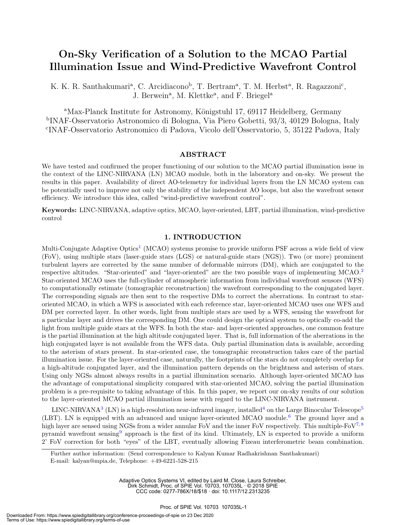### On-Sky Verification of a Solution to the MCAO Partial Illumination Issue and Wind-Predictive Wavefront Control

K. K. R. Santhakumari<sup>a</sup>, C. Arcidiacono<sup>b</sup>, T. Bertram<sup>a</sup>, T. M. Herbst<sup>a</sup>, R. Ragazzoni<sup>c</sup>, J. Berwein<sup>a</sup>, M. Klettke<sup>a</sup>, and F. Briegel<sup>a</sup>

<sup>a</sup>Max-Planck Institute for Astronomy, Königstuhl 17, 69117 Heidelberg, Germany b INAF-Osservatorio Astronomico di Bologna, Via Piero Gobetti, 93/3, 40129 Bologna, Italy c INAF-Osservatorio Astronomico di Padova, Vicolo dell'Osservatorio, 5, 35122 Padova, Italy

#### ABSTRACT

We have tested and confirmed the proper functioning of our solution to the MCAO partial illumination issue in the context of the LINC-NIRVANA (LN) MCAO module, both in the laboratory and on-sky. We present the results in this paper. Availability of direct AO-telemetry for individual layers from the LN MCAO system can be potentially used to improve not only the stability of the independent AO loops, but also the wavefront sensor efficiency. We introduce this idea, called "wind-predictive wavefront control".

Keywords: LINC-NIRVANA, adaptive optics, MCAO, layer-oriented, LBT, partial illumination, wind-predictive control

#### 1. INTRODUCTION

Multi-Conjugate Adaptive Optics<sup>1</sup> (MCAO) systems promise to provide uniform PSF across a wide field of view (FoV), using multiple stars (laser-guide stars (LGS) or natural-guide stars (NGS)). Two (or more) prominent turbulent layers are corrected by the same number of deformable mirrors (DM), which are conjugated to the respective altitudes. "Star-oriented" and "layer-oriented" are the two possible ways of implementing MCAO.<sup>2</sup> Star-oriented MCAO uses the full-cylinder of atmospheric information from individual wavefront sensors (WFS) to computationally estimate (tomographic reconstruction) the wavefront corresponding to the conjugated layer. The corresponding signals are then sent to the respective DMs to correct the aberrations. In contrast to staroriented MCAO, in which a WFS is associated with each reference star, layer-oriented MCAO uses one WFS and DM per corrected layer. In other words, light from multiple stars are used by a WFS, sensing the wavefront for a particular layer and drives the corresponding DM. One could design the optical system to optically co-add the light from multiple guide stars at the WFS. In both the star- and layer-oriented approaches, one common feature is the partial illumination at the high altitude conjugated layer. That is, full information of the aberrations in the high conjugated layer is not available from the WFS data. Only partial illumination data is available, according to the asterism of stars present. In star-oriented case, the tomographic reconstruction takes care of the partial illumination issue. For the layer-oriented case, naturally, the footprints of the stars do not completely overlap for a high-altitude conjugated layer, and the illumination pattern depends on the brightness and asterism of stars. Using only NGSs almost always results in a partial illumination scenario. Although layer-oriented MCAO has the advantage of computational simplicity compared with star-oriented MCAO, solving the partial illumination problem is a pre-requisite to taking advantage of this. In this paper, we report our on-sky results of our solution to the layer-oriented MCAO partial illumination issue with regard to the LINC-NIRVANA instrument.

LINC-NIRVANA<sup>3</sup> (LN) is a high-resolution near-infrared imager, installed<sup>4</sup> on the Large Binocular Telescope<sup>5</sup> (LBT). LN is equipped with an advanced and unique layer-oriented MCAO module.<sup>6</sup> The ground layer and a high layer are sensed using NGSs from a wider annular FoV and the inner FoV respectively. This multiple-FoV<sup>7,8</sup> pyramid wavefront sensing<sup>9</sup> approach is the first of its kind. Ultimately, LN is expected to provide a uniform 2' FoV correction for both "eyes" of the LBT, eventually allowing Fizeau interferometric beam combination.

Adaptive Optics Systems VI, edited by Laird M. Close, Laura Schreiber, Dirk Schmidt, Proc. of SPIE Vol. 10703, 107035L · © 2018 SPIE CCC code: 0277-786X/18/\$18 · doi: 10.1117/12.2313235

Further author information: (Send correspondence to Kalyan Kumar Radhakrishnan Santhakumari) E-mail: kalyan@mpia.de, Telephone: +49-6221-528-215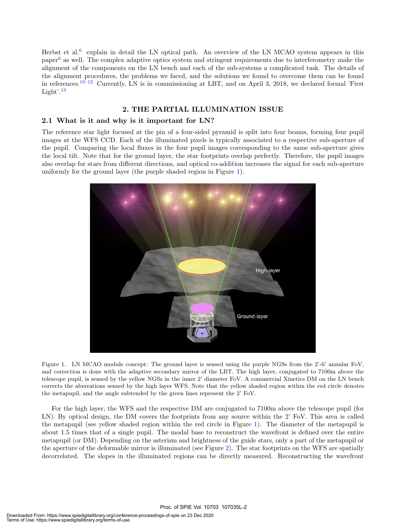Herbst et al.<sup>6</sup> explain in detail the LN optical path. An overview of the LN MCAO system appears in this paper<sup>6</sup> as well. The complex adaptive optics system and stringent requirements due to interferometry make the alignment of the components on the LN bench and each of the sub-systems a complicated task. The details of the alignment procedures, the problems we faced, and the solutions we found to overcome them can be found in references.10–12 Currently, LN is in commissioning at LBT, and on April 3, 2018, we declared formal 'First Light'.<sup>13</sup>

#### 2. THE PARTIAL ILLUMINATION ISSUE

#### 2.1 What is it and why is it important for LN?

The reference star light focused at the pin of a four-sided pyramid is split into four beams, forming four pupil images at the WFS CCD. Each of the illuminated pixels is typically associated to a respective sub-aperture of the pupil. Comparing the local fluxes in the four pupil images corresponding to the same sub-aperture gives the local tilt. Note that for the ground layer, the star footprints overlap perfectly. Therefore, the pupil images also overlap for stars from different directions, and optical co-addition increases the signal for each sub-aperture uniformly for the ground layer (the purple shaded region in Figure 1).



Figure 1. LN MCAO module concept: The ground layer is sensed using the purple NGSs from the 2'-6' annular FoV, and correction is done with the adaptive secondary mirror of the LBT. The high layer, conjugated to 7100m above the telescope pupil, is sensed by the yellow NGSs in the inner 2' diameter FoV. A commercial Xinetics DM on the LN bench corrects the aberrations sensed by the high layer WFS. Note that the yellow shaded region within the red circle denotes the metapupil, and the angle subtended by the green lines represent the 2' FoV.

For the high layer, the WFS and the respective DM are conjugated to 7100m above the telescope pupil (for LN). By optical design, the DM covers the footprints from any source within the 2' FoV. This area is called the metapupil (see yellow shaded region within the red circle in Figure 1). The diameter of the metapupil is about 1.5 times that of a single pupil. The modal base to reconstruct the wavefront is defined over the entire metapupil (or DM). Depending on the asterism and brightness of the guide stars, only a part of the metapupil or the aperture of the deformable mirror is illuminated (see Figure 2). The star footprints on the WFS are spatially decorrelated. The slopes in the illuminated regions can be directly measured. Reconstructing the wavefront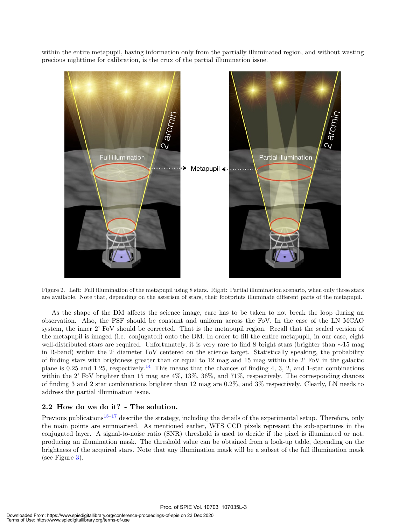within the entire metapupil, having information only from the partially illuminated region, and without wasting precious nighttime for calibration, is the crux of the partial illumination issue.



Figure 2. Left: Full illumination of the metapupil using 8 stars. Right: Partial illumination scenario, when only three stars are available. Note that, depending on the asterism of stars, their footprints illuminate different parts of the metapupil.

As the shape of the DM affects the science image, care has to be taken to not break the loop during an observation. Also, the PSF should be constant and uniform across the FoV. In the case of the LN MCAO system, the inner 2' FoV should be corrected. That is the metapupil region. Recall that the scaled version of the metapupil is imaged (i.e. conjugated) onto the DM. In order to fill the entire metapupil, in our case, eight well-distributed stars are required. Unfortunately, it is very rare to find 8 bright stars (brighter than ∼15 mag in R-band) within the 2' diameter FoV centered on the science target. Statistically speaking, the probability of finding stars with brightness greater than or equal to 12 mag and 15 mag within the 2' FoV in the galactic plane is 0.25 and 1.25, respectively.<sup>14</sup> This means that the chances of finding 4, 3, 2, and 1-star combinations within the 2' FoV brighter than 15 mag are 4%, 13%, 36%, and 71%, respectively. The corresponding chances of finding 3 and 2 star combinations brighter than 12 mag are 0.2%, and 3% respectively. Clearly, LN needs to address the partial illumination issue.

#### 2.2 How do we do it? - The solution.

Previous publications<sup>15–17</sup> describe the strategy, including the details of the experimental setup. Therefore, only the main points are summarised. As mentioned earlier, WFS CCD pixels represent the sub-apertures in the conjugated layer. A signal-to-noise ratio (SNR) threshold is used to decide if the pixel is illuminated or not, producing an illumination mask. The threshold value can be obtained from a look-up table, depending on the brightness of the acquired stars. Note that any illumination mask will be a subset of the full illumination mask (see Figure 3).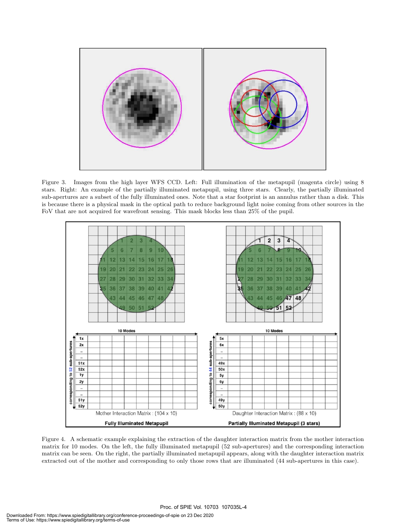

Figure 3. Images from the high layer WFS CCD. Left: Full illumination of the metapupil (magenta circle) using 8 stars. Right: An example of the partially illuminated metapupil, using three stars. Clearly, the partially illuminated sub-apertures are a subset of the fully illuminated ones. Note that a star footprint is an annulus rather than a disk. This is because there is a physical mask in the optical path to reduce background light noise coming from other sources in the FoV that are not acquired for wavefront sensing. This mask blocks less than 25% of the pupil.



Figure 4. A schematic example explaining the extraction of the daughter interaction matrix from the mother interaction matrix for 10 modes. On the left, the fully illuminated metapupil (52 sub-apertures) and the corresponding interaction matrix can be seen. On the right, the partially illuminated metapupil appears, along with the daughter interaction matrix extracted out of the mother and corresponding to only those rows that are illuminated (44 sub-apertures in this case).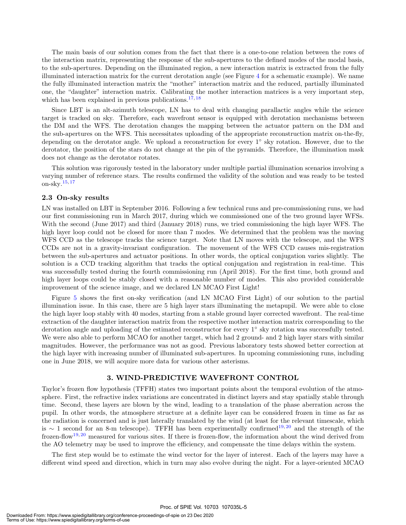The main basis of our solution comes from the fact that there is a one-to-one relation between the rows of the interaction matrix, representing the response of the sub-apertures to the defined modes of the modal basis, to the sub-apertures. Depending on the illuminated region, a new interaction matrix is extracted from the fully illuminated interaction matrix for the current derotation angle (see Figure 4 for a schematic example). We name the fully illuminated interaction matrix the "mother" interaction matrix and the reduced, partially illuminated one, the "daughter" interaction matrix. Calibrating the mother interaction matrices is a very important step, which has been explained in previous publications.<sup>17, 18</sup>

Since LBT is an alt-azimuth telescope, LN has to deal with changing parallactic angles while the science target is tracked on sky. Therefore, each wavefront sensor is equipped with derotation mechanisms between the DM and the WFS. The derotation changes the mapping between the actuator pattern on the DM and the sub-apertures on the WFS. This necessitates uploading of the appropriate reconstruction matrix on-the-fly, depending on the derotator angle. We upload a reconstruction for every 1<sup>°</sup> sky rotation. However, due to the derotator, the position of the stars do not change at the pin of the pyramids. Therefore, the illumination mask does not change as the derotator rotates.

This solution was rigorously tested in the laboratory under multiple partial illumination scenarios involving a varying number of reference stars. The results confirmed the validity of the solution and was ready to be tested on-sky.15, <sup>17</sup>

#### 2.3 On-sky results

LN was installed on LBT in September 2016. Following a few technical runs and pre-commissioning runs, we had our first commissioning run in March 2017, during which we commissioned one of the two ground layer WFSs. With the second (June 2017) and third (January 2018) runs, we tried commissioning the high layer WFS. The high layer loop could not be closed for more than 7 modes. We determined that the problem was the moving WFS CCD as the telescope tracks the science target. Note that LN moves with the telescope, and the WFS CCDs are not in a gravity-invariant configuration. The movement of the WFS CCD causes mis-registration between the sub-apertures and actuator positions. In other words, the optical conjugation varies slightly. The solution is a CCD tracking algorithm that tracks the optical conjugation and registration in real-time. This was successfully tested during the fourth commissioning run (April 2018). For the first time, both ground and high layer loops could be stably closed with a reasonable number of modes. This also provided considerable improvement of the science image, and we declared LN MCAO First Light!

Figure 5 shows the first on-sky verification (and LN MCAO First Light) of our solution to the partial illumination issue. In this case, there are 5 high layer stars illuminating the metapupil. We were able to close the high layer loop stably with 40 modes, starting from a stable ground layer corrected wavefront. The real-time extraction of the daughter interaction matrix from the respective mother interaction matrix corresponding to the derotation angle and uploading of the estimated reconstructor for every 1<sup>°</sup> sky rotation was successfully tested. We were also able to perform MCAO for another target, which had 2 ground- and 2 high layer stars with similar magnitudes. However, the performance was not as good. Previous laboratory tests showed better correction at the high layer with increasing number of illuminated sub-apertures. In upcoming commissioning runs, including one in June 2018, we will acquire more data for various other asterisms.

#### 3. WIND-PREDICTIVE WAVEFRONT CONTROL

Taylor's frozen flow hypothesis (TFFH) states two important points about the temporal evolution of the atmosphere. First, the refractive index variations are concentrated in distinct layers and stay spatially stable through time. Second, these layers are blown by the wind, leading to a translation of the phase aberration across the pupil. In other words, the atmosphere structure at a definite layer can be considered frozen in time as far as the radiation is concerned and is just laterally translated by the wind (at least for the relevant timescale, which is ∼ 1 second for an 8-m telescope). TFFH has been experimentally confirmed<sup>19,20</sup> and the strength of the frozen-flow19, <sup>20</sup> measured for various sites. If there is frozen-flow, the information about the wind derived from the AO telemetry may be used to improve the efficiency, and compensate the time delays within the system.

The first step would be to estimate the wind vector for the layer of interest. Each of the layers may have a different wind speed and direction, which in turn may also evolve during the night. For a layer-oriented MCAO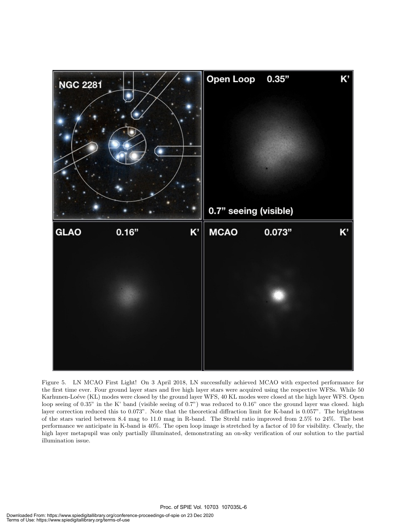

Figure 5. LN MCAO First Light! On 3 April 2018, LN successfully achieved MCAO with expected performance for the first time ever. Four ground layer stars and five high layer stars were acquired using the respective WFSs. While 50 Karhunen-Loéve (KL) modes were closed by the ground layer WFS, 40 KL modes were closed at the high layer WFS. Open loop seeing of 0.35" in the K' band (visible seeing of 0.7") was reduced to 0.16" once the ground layer was closed. high layer correction reduced this to 0.073". Note that the theoretical diffraction limit for K-band is 0.057". The brightness of the stars varied between 8.4 mag to 11.0 mag in R-band. The Strehl ratio improved from 2.5% to 24%. The best performance we anticipate in K-band is 40%. The open loop image is stretched by a factor of 10 for visibility. Clearly, the high layer metapupil was only partially illuminated, demonstrating an on-sky verification of our solution to the partial illumination issue.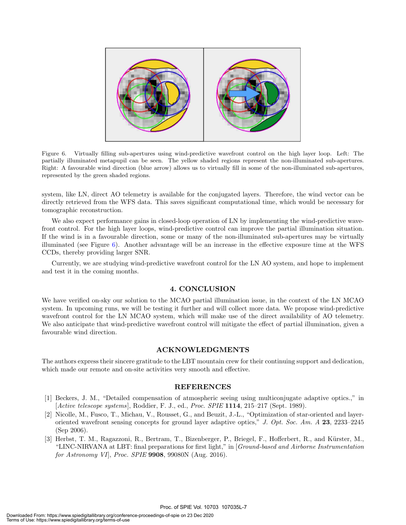

Figure 6. Virtually filling sub-apertures using wind-predictive wavefront control on the high layer loop. Left: The partially illuminated metapupil can be seen. The yellow shaded regions represent the non-illuminated sub-apertures. Right: A favourable wind direction (blue arrow) allows us to virtually fill in some of the non-illuminated sub-apertures, represented by the green shaded regions.

system, like LN, direct AO telemetry is available for the conjugated layers. Therefore, the wind vector can be directly retrieved from the WFS data. This saves significant computational time, which would be necessary for tomographic reconstruction.

We also expect performance gains in closed-loop operation of LN by implementing the wind-predictive wavefront control. For the high layer loops, wind-predictive control can improve the partial illumination situation. If the wind is in a favourable direction, some or many of the non-illuminated sub-apertures may be virtually illuminated (see Figure 6). Another advantage will be an increase in the effective exposure time at the WFS CCDs, thereby providing larger SNR.

Currently, we are studying wind-predictive wavefront control for the LN AO system, and hope to implement and test it in the coming months.

#### 4. CONCLUSION

We have verified on-sky our solution to the MCAO partial illumination issue, in the context of the LN MCAO system. In upcoming runs, we will be testing it further and will collect more data. We propose wind-predictive wavefront control for the LN MCAO system, which will make use of the direct availability of AO telemetry. We also anticipate that wind-predictive wavefront control will mitigate the effect of partial illumination, given a favourable wind direction.

#### ACKNOWLEDGMENTS

The authors express their sincere gratitude to the LBT mountain crew for their continuing support and dedication, which made our remote and on-site activities very smooth and effective.

#### REFERENCES

- [1] Beckers, J. M., "Detailed compensation of atmospheric seeing using multiconjugate adaptive optics.," in  $[Active telescope systems]$ , Roddier, F. J., ed., *Proc. SPIE* 1114, 215–217 (Sept. 1989).
- [2] Nicolle, M., Fusco, T., Michau, V., Rousset, G., and Beuzit, J.-L., "Optimization of star-oriented and layeroriented wavefront sensing concepts for ground layer adaptive optics," J. Opt. Soc. Am. A 23, 2233–2245 (Sep 2006).
- [3] Herbst, T. M., Ragazzoni, R., Bertram, T., Bizenberger, P., Briegel, F., Hofferbert, R., and K¨urster, M., "LINC-NIRVANA at LBT: final preparations for first light," in [Ground-based and Airborne Instrumentation for Astronomy VI], Proc. SPIE 9908, 99080N (Aug. 2016).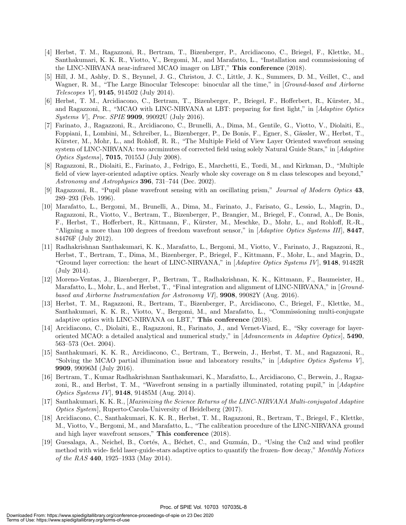- [4] Herbst, T. M., Ragazzoni, R., Bertram, T., Bizenberger, P., Arcidiacono, C., Briegel, F., Klettke, M., Santhakumari, K. K. R., Viotto, V., Bergomi, M., and Marafatto, L., "Installation and commsissioning of the LINC-NIRVANA near-infrared MCAO imager on LBT," This conference (2018).
- [5] Hill, J. M., Ashby, D. S., Brynnel, J. G., Christou, J. C., Little, J. K., Summers, D. M., Veillet, C., and Wagner, R. M., "The Large Binocular Telescope: binocular all the time," in [Ground-based and Airborne Telescopes V], 9145, 914502 (July 2014).
- [6] Herbst, T. M., Arcidiacono, C., Bertram, T., Bizenberger, P., Briegel, F., Hofferbert, R., Kürster, M., and Ragazzoni, R., "MCAO with LINC-NIRVANA at LBT: preparing for first light," in [Adaptive Optics Systems V], Proc. SPIE 9909, 99092U (July 2016).
- [7] Farinato, J., Ragazzoni, R., Arcidiacono, C., Brunelli, A., Dima, M., Gentile, G., Viotto, V., Diolaiti, E., Foppiani, I., Lombini, M., Schreiber, L., Bizenberger, P., De Bonis, F., Egner, S., Gässler, W., Herbst, T., Kürster, M., Mohr, L., and Rohloff, R. R., "The Multiple Field of View Layer Oriented wavefront sensing system of LINC-NIRVANA: two arcminutes of corrected field using solely Natural Guide Stars," in [Adaptive *Optics Systems*, **7015**, 70155J (July 2008).
- [8] Ragazzoni, R., Diolaiti, E., Farinato, J., Fedrigo, E., Marchetti, E., Tordi, M., and Kirkman, D., "Multiple field of view layer-oriented adaptive optics. Nearly whole sky coverage on 8 m class telescopes and beyond," Astronomy and Astrophysics 396, 731–744 (Dec. 2002).
- [9] Ragazzoni, R., "Pupil plane wavefront sensing with an oscillating prism," Journal of Modern Optics 43, 289–293 (Feb. 1996).
- [10] Marafatto, L., Bergomi, M., Brunelli, A., Dima, M., Farinato, J., Farisato, G., Lessio, L., Magrin, D., Ragazzoni, R., Viotto, V., Bertram, T., Bizenberger, P., Brangier, M., Briegel, F., Conrad, A., De Bonis, F., Herbst, T., Hofferbert, R., Kittmann, F., Kürster, M., Meschke, D., Mohr, L., and Rohloff, R.-R., "Aligning a more than 100 degrees of freedom wavefront sensor," in [Adaptive Optics Systems III], 8447, 84476F (July 2012).
- [11] Radhakrishnan Santhakumari, K. K., Marafatto, L., Bergomi, M., Viotto, V., Farinato, J., Ragazzoni, R., Herbst, T., Bertram, T., Dima, M., Bizenberger, P., Briegel, F., Kittmann, F., Mohr, L., and Magrin, D., "Ground layer correction: the heart of LINC-NIRVANA," in  $[Adaptive \; Optics \; Systems \; IV]$ , **9148**, 91482R (July 2014).
- [12] Moreno-Ventas, J., Bizenberger, P., Bertram, T., Radhakrishnan, K. K., Kittmann, F., Baumeister, H., Marafatto, L., Mohr, L., and Herbst, T., "Final integration and alignment of LINC-NIRVANA," in [Groundbased and Airborne Instrumentation for Astronomy VI], 9908, 99082Y (Aug. 2016).
- [13] Herbst, T. M., Ragazzoni, R., Bertram, T., Bizenberger, P., Arcidiacono, C., Briegel, F., Klettke, M., Santhakumari, K. K. R., Viotto, V., Bergomi, M., and Marafatto, L., "Commissioning multi-conjugate adaptive optics with LINC-NIRVANA on LBT," This conference (2018).
- [14] Arcidiacono, C., Diolaiti, E., Ragazzoni, R., Farinato, J., and Vernet-Viard, E., "Sky coverage for layeroriented MCAO: a detailed analytical and numerical study," in  $[Advancements \, in \, Adaptive \, Optics]$ , 5490, 563–573 (Oct. 2004).
- [15] Santhakumari, K. K. R., Arcidiacono, C., Bertram, T., Berwein, J., Herbst, T. M., and Ragazzoni, R., "Solving the MCAO partial illumination issue and laboratory results," in  $[Adaptive Optics Systems V]$ , 9909, 99096M (July 2016).
- [16] Bertram, T., Kumar Radhakrishnan Santhakumari, K., Marafatto, L., Arcidiacono, C., Berwein, J., Ragazzoni, R., and Herbst, T. M., "Wavefront sensing in a partially illuminated, rotating pupil," in [Adaptive Optics Systems IV], 9148, 91485M (Aug. 2014).
- [17] Santhakumari, K. K. R., [Maximizing the Science Returns of the LINC-NIRVANA Multi-conjugated Adaptive Optics System], Ruperto-Carola-University of Heidelberg (2017).
- [18] Arcidiacono, C., Santhakumari, K. K. R., Herbst, T. M., Ragazzoni, R., Bertram, T., Briegel, F., Klettke, M., Viotto, V., Bergomi, M., and Marafatto, L., "The calibration procedure of the LINC-NIRVANA ground and high layer wavefront sensors," This conference (2018).
- [19] Guesalaga, A., Neichel, B., Cortés, A., Béchet, C., and Guzmán, D., "Using the Cn2 and wind profiler method with wide- field laser-guide-stars adaptive optics to quantify the frozen- flow decay," Monthly Notices of the RAS 440, 1925–1933 (May 2014).